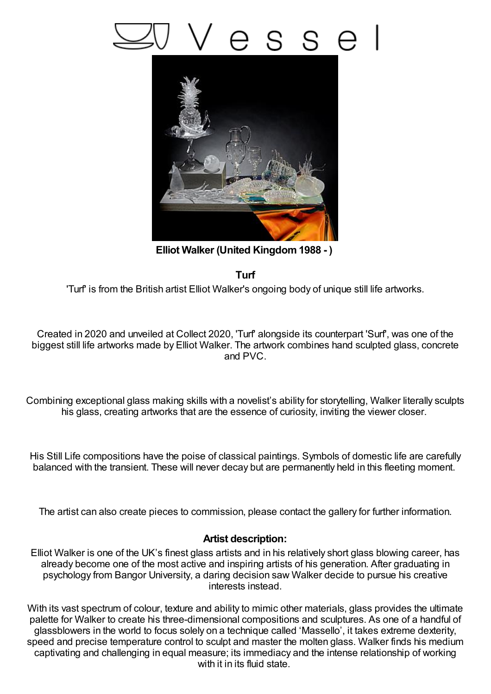## s s e



**Elliot Walker (United Kingdom1988 - )**

**Turf**

'Turf' is from the British artist Elliot Walker's ongoing body of unique still life artworks.

Created in 2020 and unveiled at Collect 2020, 'Turf' alongside its counterpart 'Surf', was one of the biggest still life artworks made by Elliot Walker. The artwork combines hand sculpted glass, concrete and PVC.

Combining exceptional glass making skills with a novelist's ability for storytelling, Walker literally sculpts his glass, creating artworks that are the essence of curiosity, inviting the viewer closer.

His Still Life compositions have the poise of classical paintings. Symbols of domestic life are carefully balanced with the transient. These will never decay but are permanently held in this fleeting moment.

The artist can also create pieces to commission, please contact the gallery for further information.

## **Artist description:**

Elliot Walker is one of the UK's finest glass artists and in his relatively short glass blowing career, has already become one of the most active and inspiring artists of his generation. After graduating in psychology from Bangor University, a daring decision saw Walker decide to pursue his creative interests instead.

With its vast spectrum of colour, texture and ability to mimic other materials, glass provides the ultimate palette for Walker to create his three-dimensional compositions and sculptures. As one of a handful of glassblowers in the world to focus solely on a technique called 'Massello', it takes extreme dexterity, speed and precise temperature control to sculpt and master the molten glass. Walker finds his medium captivating and challenging in equal measure; its immediacy and the intense relationship of working with it in its fluid state.